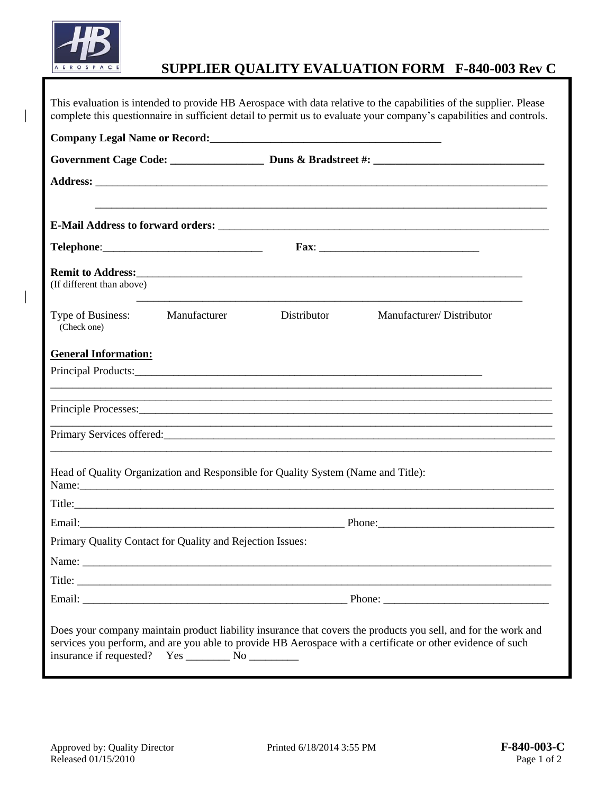

## **SUPPLIER QUALITY EVALUATION FORM F-840-003 Rev C**

|                                  |                                                           |                                                                                   | This evaluation is intended to provide HB Aerospace with data relative to the capabilities of the supplier. Please<br>complete this questionnaire in sufficient detail to permit us to evaluate your company's capabilities and controls. |  |
|----------------------------------|-----------------------------------------------------------|-----------------------------------------------------------------------------------|-------------------------------------------------------------------------------------------------------------------------------------------------------------------------------------------------------------------------------------------|--|
|                                  |                                                           |                                                                                   |                                                                                                                                                                                                                                           |  |
|                                  |                                                           |                                                                                   |                                                                                                                                                                                                                                           |  |
|                                  |                                                           |                                                                                   |                                                                                                                                                                                                                                           |  |
|                                  |                                                           |                                                                                   |                                                                                                                                                                                                                                           |  |
|                                  |                                                           |                                                                                   |                                                                                                                                                                                                                                           |  |
| (If different than above)        |                                                           |                                                                                   |                                                                                                                                                                                                                                           |  |
| Type of Business:<br>(Check one) | Manufacturer                                              | Distributor                                                                       | Manufacturer/Distributor                                                                                                                                                                                                                  |  |
| <b>General Information:</b>      |                                                           |                                                                                   |                                                                                                                                                                                                                                           |  |
|                                  |                                                           |                                                                                   |                                                                                                                                                                                                                                           |  |
|                                  |                                                           |                                                                                   |                                                                                                                                                                                                                                           |  |
|                                  |                                                           |                                                                                   |                                                                                                                                                                                                                                           |  |
|                                  |                                                           |                                                                                   | <u> 1990 - Jan James James James James James James James James James James James James James James James James</u>                                                                                                                        |  |
|                                  |                                                           | Head of Quality Organization and Responsible for Quality System (Name and Title): | Name: Name: Name: Name: Name: Name: Name: Name: Name: Name: Name: Name: Name: Name: Name: Name: Name: Name: Name: Name: Name: Name: Name: Name: Name: Name: Name: Name: Name: Name: Name: Name: Name: Name: Name: Name: Name:             |  |
|                                  |                                                           |                                                                                   |                                                                                                                                                                                                                                           |  |
|                                  |                                                           |                                                                                   |                                                                                                                                                                                                                                           |  |
|                                  | Primary Quality Contact for Quality and Rejection Issues: |                                                                                   |                                                                                                                                                                                                                                           |  |
|                                  |                                                           |                                                                                   |                                                                                                                                                                                                                                           |  |
|                                  |                                                           | Title:                                                                            |                                                                                                                                                                                                                                           |  |
|                                  |                                                           |                                                                                   |                                                                                                                                                                                                                                           |  |
|                                  |                                                           |                                                                                   | Does your company maintain product liability insurance that covers the products you sell, and for the work and<br>services you perform, and are you able to provide HB Aerospace with a certificate or other evidence of such             |  |